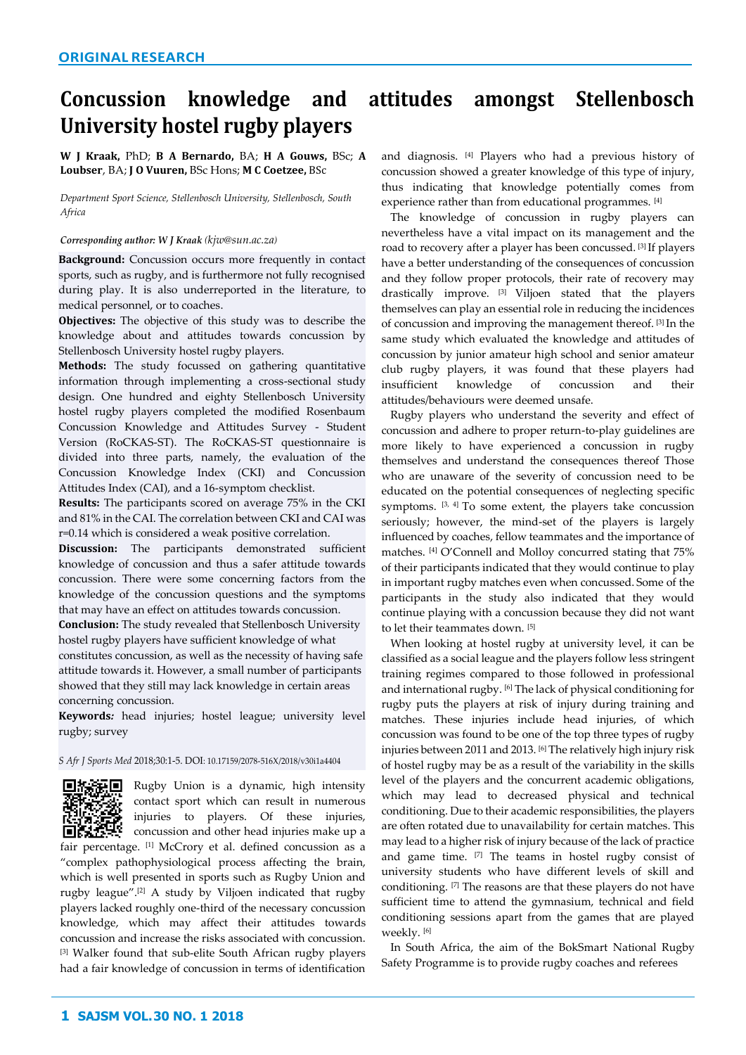# **Concussion knowledge and attitudes amongst Stellenbosch University hostel rugby players**

**W J Kraak,** PhD; **B A Bernardo,** BA; **H A Gouws,** BSc; **A Loubser**, BA; **J O Vuuren,** BSc Hons; **M C Coetzee,** BSc

*Department Sport Science, Stellenbosch University, Stellenbosch, South Africa*

#### *Corresponding author: W J Kraak (kjw@sun.ac.za)*

**Background:** Concussion occurs more frequently in contact sports, such as rugby, and is furthermore not fully recognised during play. It is also underreported in the literature, to medical personnel, or to coaches.

**Objectives:** The objective of this study was to describe the knowledge about and attitudes towards concussion by Stellenbosch University hostel rugby players.

**Methods:** The study focussed on gathering quantitative information through implementing a cross-sectional study design. One hundred and eighty Stellenbosch University hostel rugby players completed the modified Rosenbaum Concussion Knowledge and Attitudes Survey - Student Version (RoCKAS-ST). The RoCKAS-ST questionnaire is divided into three parts, namely, the evaluation of the Concussion Knowledge Index (CKI) and Concussion Attitudes Index (CAI), and a 16-symptom checklist.

**Results:** The participants scored on average 75% in the CKI and 81% in the CAI. The correlation between CKI and CAI was r=0.14 which is considered a weak positive correlation.

**Discussion:** The participants demonstrated sufficient knowledge of concussion and thus a safer attitude towards concussion. There were some concerning factors from the knowledge of the concussion questions and the symptoms that may have an effect on attitudes towards concussion.

**Conclusion:** The study revealed that Stellenbosch University hostel rugby players have sufficient knowledge of what constitutes concussion, as well as the necessity of having safe attitude towards it. However, a small number of participants showed that they still may lack knowledge in certain areas concerning concussion.

**Keywords***:* head injuries; hostel league; university level rugby; survey

#### *S Afr J Sports Med* 2018;30:1-5. DOI[: 10.17159/2078-516X/2018/v30i1a4404](http://dx.doi.org/10.17159/2078-516X/2018/v30i1a4404)



**Rugby Union is a dynamic, high intensity** contact sport which can result in numerous injuries to players. Of these injuries, concussion and other head injuries make up a

fair percentage. [1] McCrory et al. defined concussion as a "complex pathophysiological process affecting the brain, which is well presented in sports such as Rugby Union and rugby league".[2] A study by Viljoen indicated that rugby players lacked roughly one-third of the necessary concussion knowledge, which may affect their attitudes towards concussion and increase the risks associated with concussion. [3] Walker found that sub-elite South African rugby players had a fair knowledge of concussion in terms of identification

and diagnosis. [4] Players who had a previous history of concussion showed a greater knowledge of this type of injury, thus indicating that knowledge potentially comes from experience rather than from educational programmes. [4]

The knowledge of concussion in rugby players can nevertheless have a vital impact on its management and the road to recovery after a player has been concussed. [3] If players have a better understanding of the consequences of concussion and they follow proper protocols, their rate of recovery may drastically improve. [3] Viljoen stated that the players themselves can play an essential role in reducing the incidences of concussion and improving the management thereof. [3] In the same study which evaluated the knowledge and attitudes of concussion by junior amateur high school and senior amateur club rugby players, it was found that these players had insufficient knowledge of concussion and their attitudes/behaviours were deemed unsafe.

Rugby players who understand the severity and effect of concussion and adhere to proper return-to-play guidelines are more likely to have experienced a concussion in rugby themselves and understand the consequences thereof Those who are unaware of the severity of concussion need to be educated on the potential consequences of neglecting specific symptoms.  $[3, 4]$  To some extent, the players take concussion seriously; however, the mind-set of the players is largely influenced by coaches, fellow teammates and the importance of matches. [4] O'Connell and Molloy concurred stating that 75% of their participants indicated that they would continue to play in important rugby matches even when concussed. Some of the participants in the study also indicated that they would continue playing with a concussion because they did not want to let their teammates down. [5]

When looking at hostel rugby at university level, it can be classified as a social league and the players follow less stringent training regimes compared to those followed in professional and international rugby. [6] The lack of physical conditioning for rugby puts the players at risk of injury during training and matches. These injuries include head injuries, of which concussion was found to be one of the top three types of rugby injuries between 2011 and 2013. [6] The relatively high injury risk of hostel rugby may be as a result of the variability in the skills level of the players and the concurrent academic obligations, which may lead to decreased physical and technical conditioning. Due to their academic responsibilities, the players are often rotated due to unavailability for certain matches. This may lead to a higher risk of injury because of the lack of practice and game time. [7] The teams in hostel rugby consist of university students who have different levels of skill and conditioning. [7] The reasons are that these players do not have sufficient time to attend the gymnasium, technical and field conditioning sessions apart from the games that are played weekly. [6]

In South Africa, the aim of the BokSmart National Rugby Safety Programme is to provide rugby coaches and referees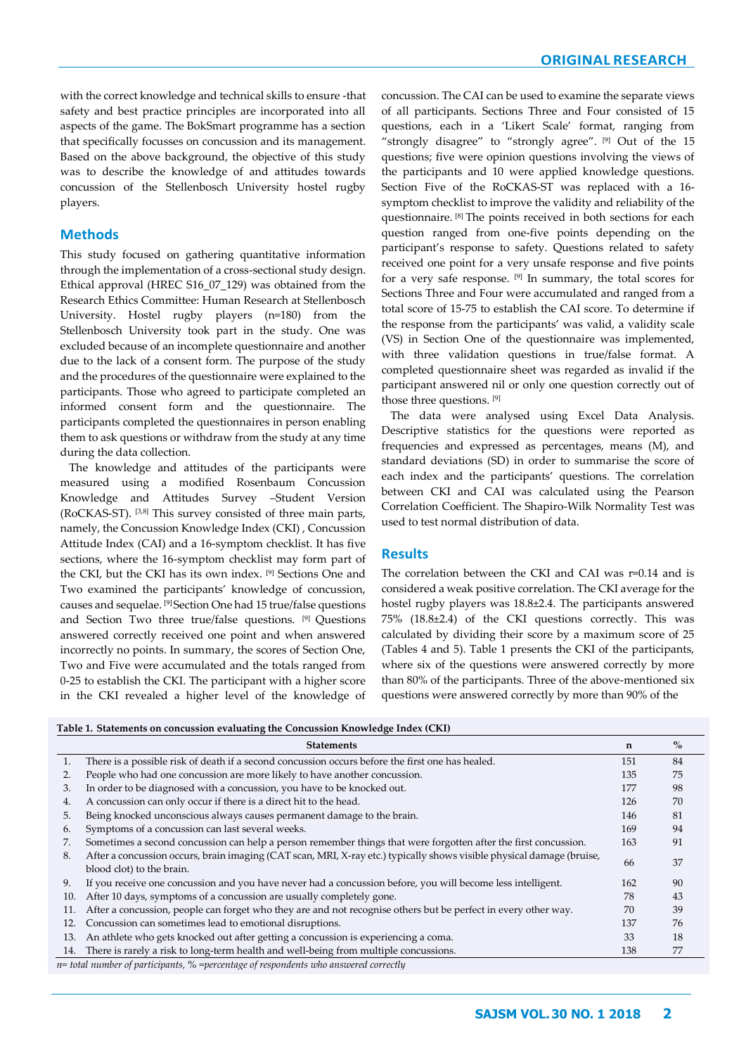with the correct knowledge and technical skills to ensure -that safety and best practice principles are incorporated into all aspects of the game. The BokSmart programme has a section that specifically focusses on concussion and its management. Based on the above background, the objective of this study was to describe the knowledge of and attitudes towards concussion of the Stellenbosch University hostel rugby players.

# **Methods**

This study focused on gathering quantitative information through the implementation of a cross-sectional study design. Ethical approval (HREC S16\_07\_129) was obtained from the Research Ethics Committee: Human Research at Stellenbosch University. Hostel rugby players (n=180) from the Stellenbosch University took part in the study. One was excluded because of an incomplete questionnaire and another due to the lack of a consent form. The purpose of the study and the procedures of the questionnaire were explained to the participants. Those who agreed to participate completed an informed consent form and the questionnaire. The participants completed the questionnaires in person enabling them to ask questions or withdraw from the study at any time during the data collection.

The knowledge and attitudes of the participants were measured using a modified Rosenbaum Concussion Knowledge and Attitudes Survey –Student Version (RoCKAS-ST). [3,8] This survey consisted of three main parts, namely, the Concussion Knowledge Index (CKI) , Concussion Attitude Index (CAI) and a 16-symptom checklist. It has five sections, where the 16-symptom checklist may form part of the CKI, but the CKI has its own index. [9] Sections One and Two examined the participants' knowledge of concussion, causes and sequelae. [9] Section One had 15 true/false questions and Section Two three true/false questions. [9] Questions answered correctly received one point and when answered incorrectly no points. In summary, the scores of Section One, Two and Five were accumulated and the totals ranged from 0-25 to establish the CKI. The participant with a higher score in the CKI revealed a higher level of the knowledge of

concussion. The CAI can be used to examine the separate views of all participants. Sections Three and Four consisted of 15 questions, each in a 'Likert Scale' format, ranging from "strongly disagree" to "strongly agree". [9] Out of the 15 questions; five were opinion questions involving the views of the participants and 10 were applied knowledge questions. Section Five of the RoCKAS-ST was replaced with a 16 symptom checklist to improve the validity and reliability of the questionnaire. [8] The points received in both sections for each question ranged from one-five points depending on the participant's response to safety. Questions related to safety received one point for a very unsafe response and five points for a very safe response. [9] In summary, the total scores for Sections Three and Four were accumulated and ranged from a total score of 15-75 to establish the CAI score. To determine if the response from the participants' was valid, a validity scale (VS) in Section One of the questionnaire was implemented, with three validation questions in true/false format. A completed questionnaire sheet was regarded as invalid if the participant answered nil or only one question correctly out of those three questions. [9]

The data were analysed using Excel Data Analysis. Descriptive statistics for the questions were reported as frequencies and expressed as percentages, means (M), and standard deviations (SD) in order to summarise the score of each index and the participants' questions. The correlation between CKI and CAI was calculated using the Pearson Correlation Coefficient. The Shapiro-Wilk Normality Test was used to test normal distribution of data.

## **Results**

The correlation between the CKI and CAI was r=0.14 and is considered a weak positive correlation. The CKI average for the hostel rugby players was 18.8±2.4. The participants answered 75% (18.8±2.4) of the CKI questions correctly. This was calculated by dividing their score by a maximum score of 25 (Tables 4 and 5). Table 1 presents the CKI of the participants, where six of the questions were answered correctly by more than 80% of the participants. Three of the above-mentioned six questions were answered correctly by more than 90% of the

| Table 1. Statements on concussion evaluating the Concussion Knowledge Index (CKI) |  |  |  |
|-----------------------------------------------------------------------------------|--|--|--|
|                                                                                   |  |  |  |

|     | <b>Statements</b>                                                                                                     | n   | $\%$ |
|-----|-----------------------------------------------------------------------------------------------------------------------|-----|------|
|     | There is a possible risk of death if a second concussion occurs before the first one has healed.                      | 151 | 84   |
| 2.  | People who had one concussion are more likely to have another concussion.                                             | 135 | 75   |
| 3.  | In order to be diagnosed with a concussion, you have to be knocked out.                                               | 177 | 98   |
| 4.  | A concussion can only occur if there is a direct hit to the head.                                                     | 126 | 70   |
| 5.  | Being knocked unconscious always causes permanent damage to the brain.                                                | 146 | 81   |
| 6.  | Symptoms of a concussion can last several weeks.                                                                      | 169 | 94   |
| 7.  | Sometimes a second concussion can help a person remember things that were forgotten after the first concussion.       | 163 | 91   |
| 8.  | After a concussion occurs, brain imaging (CAT scan, MRI, X-ray etc.) typically shows visible physical damage (bruise, | 66  | 37   |
|     | blood clot) to the brain.                                                                                             |     |      |
| 9.  | If you receive one concussion and you have never had a concussion before, you will become less intelligent.           | 162 | 90   |
| 10. | After 10 days, symptoms of a concussion are usually completely gone.                                                  | 78  | 43   |
| 11. | After a concussion, people can forget who they are and not recognise others but be perfect in every other way.        | 70  | 39   |
| 12. | Concussion can sometimes lead to emotional disruptions.                                                               | 137 | 76   |
| 13. | An athlete who gets knocked out after getting a concussion is experiencing a coma.                                    | 33  | 18   |
| 14. | There is rarely a risk to long-term health and well-being from multiple concussions.                                  | 138 | 77   |

*n= total number of participants, % =percentage of respondents who answered correctly*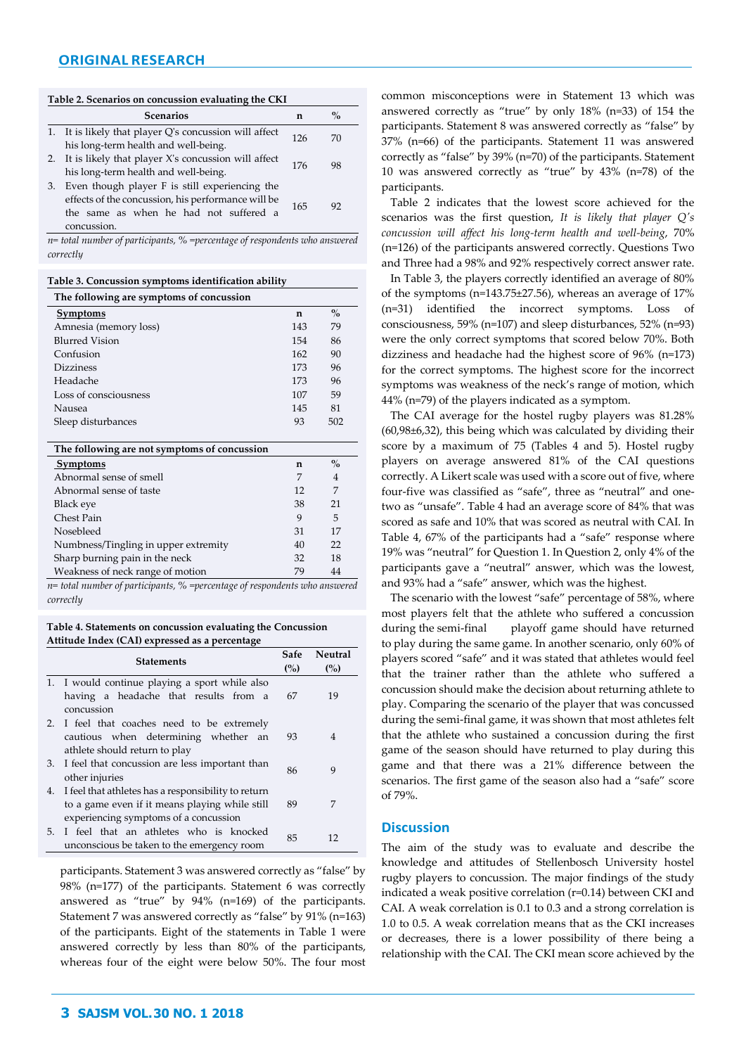#### **Table 2. Scenarios on concussion evaluating the CKI**

|    | <b>Scenarios</b>                                                                                                                                              | n   | $\frac{0}{0}$ |
|----|---------------------------------------------------------------------------------------------------------------------------------------------------------------|-----|---------------|
|    | 1. It is likely that player Q's concussion will affect<br>his long-term health and well-being.                                                                | 126 | 70            |
|    | 2. It is likely that player X's concussion will affect<br>his long-term health and well-being.                                                                | 176 | 98            |
| 3. | Even though player F is still experiencing the<br>effects of the concussion, his performance will be<br>the same as when he had not suffered a<br>concussion. | 165 | 92            |

*n= total number of participants, % =percentage of respondents who answered correctly*

**Table 3. Concussion symptoms identification ability**

| The following are symptoms of concussion     |             |               |  |  |
|----------------------------------------------|-------------|---------------|--|--|
| <b>Symptoms</b>                              | $\mathbf n$ | $\frac{0}{0}$ |  |  |
| Amnesia (memory loss)                        | 143         | 79            |  |  |
| <b>Blurred Vision</b>                        | 154         | 86            |  |  |
| Confusion                                    | 162         | 90            |  |  |
| <b>Dizziness</b>                             | 173         | 96            |  |  |
| Headache                                     | 173         | 96            |  |  |
| Loss of consciousness                        | 107         | 59            |  |  |
| Nausea                                       | 145         | 81            |  |  |
| Sleep disturbances                           | 93          | 502           |  |  |
|                                              |             |               |  |  |
| The following are not symptoms of concussion |             |               |  |  |
| <b>Symptoms</b>                              | n           | $\frac{0}{0}$ |  |  |
| Abnormal sense of smell                      | 7           | 4             |  |  |
| Abnormal sense of taste                      | 12          | 7             |  |  |
| Black eye                                    | 38          | 21            |  |  |
| Chest Pain                                   | 9           | 5             |  |  |
| Nosebleed                                    | 31          | 17            |  |  |
| Numbness/Tingling in upper extremity         | 40          | 22            |  |  |
| Sharp burning pain in the neck               | 32          | 18            |  |  |
| Weakness of neck range of motion             | 79          | 44            |  |  |

*n= total number of participants, % =percentage of respondents who answered correctly*

**Table 4. Statements on concussion evaluating the Concussion Attitude Index (CAI) expressed as a percentage**

|    | Statements                                                                                                                                     | Safe<br>(%) | Neutral<br>(%) |
|----|------------------------------------------------------------------------------------------------------------------------------------------------|-------------|----------------|
|    | 1. I would continue playing a sport while also<br>having a headache that results from a<br>concussion                                          | 67          | 19             |
|    | 2. I feel that coaches need to be extremely<br>cautious when determining whether<br>an<br>athlete should return to play                        | 93          | 4              |
| 3. | I feel that concussion are less important than<br>other injuries                                                                               | 86          | 9              |
| 4. | I feel that athletes has a responsibility to return<br>to a game even if it means playing while still<br>experiencing symptoms of a concussion | 89          | 7              |
| 5. | I feel that an athletes who is knocked<br>unconscious be taken to the emergency room                                                           | 85          | 12             |

participants. Statement 3 was answered correctly as "false" by 98% (n=177) of the participants. Statement 6 was correctly answered as "true" by 94% (n=169) of the participants. Statement 7 was answered correctly as "false" by 91% (n=163) of the participants. Eight of the statements in Table 1 were answered correctly by less than 80% of the participants, whereas four of the eight were below 50%. The four most

common misconceptions were in Statement 13 which was answered correctly as "true" by only 18% (n=33) of 154 the participants. Statement 8 was answered correctly as "false" by 37% (n=66) of the participants. Statement 11 was answered correctly as "false" by 39% (n=70) of the participants. Statement 10 was answered correctly as "true" by 43% (n=78) of the participants.

Table 2 indicates that the lowest score achieved for the scenarios was the first question, *It is likely that player Q's concussion will affect his long-term health and well-being*, 70% (n=126) of the participants answered correctly. Questions Two and Three had a 98% and 92% respectively correct answer rate.

In Table 3, the players correctly identified an average of 80% of the symptoms (n=143.75±27.56), whereas an average of 17% (n=31) identified the incorrect symptoms. Loss of consciousness, 59% (n=107) and sleep disturbances, 52% (n=93) were the only correct symptoms that scored below 70%. Both dizziness and headache had the highest score of 96% (n=173) for the correct symptoms. The highest score for the incorrect symptoms was weakness of the neck's range of motion, which 44% (n=79) of the players indicated as a symptom.

The CAI average for the hostel rugby players was 81.28% (60,98±6,32), this being which was calculated by dividing their score by a maximum of 75 (Tables 4 and 5). Hostel rugby players on average answered 81% of the CAI questions correctly. A Likert scale was used with a score out of five, where four-five was classified as "safe", three as "neutral" and onetwo as "unsafe". Table 4 had an average score of 84% that was scored as safe and 10% that was scored as neutral with CAI. In Table 4, 67% of the participants had a "safe" response where 19% was "neutral" for Question 1. In Question 2, only 4% of the participants gave a "neutral" answer, which was the lowest, and 93% had a "safe" answer, which was the highest.

The scenario with the lowest "safe" percentage of 58%, where most players felt that the athlete who suffered a concussion during the semi-final playoff game should have returned to play during the same game. In another scenario, only 60% of players scored "safe" and it was stated that athletes would feel that the trainer rather than the athlete who suffered a concussion should make the decision about returning athlete to play. Comparing the scenario of the player that was concussed during the semi-final game, it was shown that most athletes felt that the athlete who sustained a concussion during the first game of the season should have returned to play during this game and that there was a 21% difference between the scenarios. The first game of the season also had a "safe" score of 79%.

### **Discussion**

The aim of the study was to evaluate and describe the knowledge and attitudes of Stellenbosch University hostel rugby players to concussion. The major findings of the study indicated a weak positive correlation (r=0.14) between CKI and CAI. A weak correlation is 0.1 to 0.3 and a strong correlation is 1.0 to 0.5. A weak correlation means that as the CKI increases or decreases, there is a lower possibility of there being a relationship with the CAI. The CKI mean score achieved by the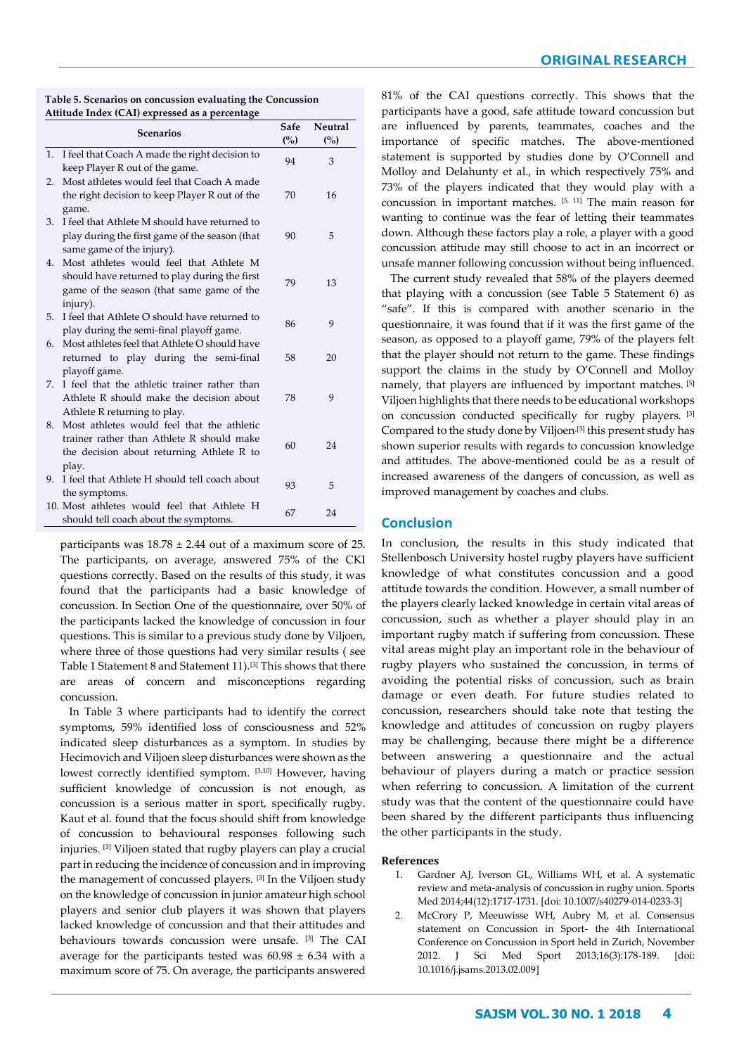| Table 5. Scenarios on concussion evaluating the Concussion |  |
|------------------------------------------------------------|--|
| Attitude Index (CAI) expressed as a percentage             |  |

|    | <b>Scenarios</b>                                                                                                                                  | Safe<br>(%) | Neutral<br>(%) |
|----|---------------------------------------------------------------------------------------------------------------------------------------------------|-------------|----------------|
| 1. | I feel that Coach A made the right decision to<br>keep Player R out of the game.                                                                  | 94          | 3              |
| 2. | Most athletes would feel that Coach A made<br>the right decision to keep Player R out of the<br>game.                                             | 70          | 16             |
| 3. | I feel that Athlete M should have returned to<br>play during the first game of the season (that<br>same game of the injury).                      | 90          | 5              |
| 4. | Most athletes would feel that Athlete M<br>should have returned to play during the first<br>game of the season (that same game of the<br>injury). | 79          | 13             |
| 5. | I feel that Athlete O should have returned to<br>play during the semi-final playoff game.                                                         | 86          | 9              |
| 6. | Most athletes feel that Athlete O should have<br>returned to play during the semi-final<br>playoff game.                                          | 58          | 20             |
| 7. | I feel that the athletic trainer rather than<br>Athlete R should make the decision about<br>Athlete R returning to play.                          | 78          | 9              |
| 8. | Most athletes would feel that the athletic<br>trainer rather than Athlete R should make<br>the decision about returning Athlete R to<br>play.     | 60          | 24             |
| 9. | I feel that Athlete H should tell coach about<br>the symptoms.                                                                                    | 93          | 5              |
|    | 10. Most athletes would feel that Athlete H<br>should tell coach about the symptoms.                                                              | 67          | 24             |

participants was  $18.78 \pm 2.44$  out of a maximum score of 25. The participants, on average, answered 75% of the CKI questions correctly. Based on the results of this study, it was found that the participants had a basic knowledge of concussion. In Section One of the questionnaire, over 50% of the participants lacked the knowledge of concussion in four questions. This is similar to a previous study done by Viljoen, where three of those questions had very similar results ( see Table 1 Statement 8 and Statement 11).[3] This shows that there are areas of concern and misconceptions regarding concussion.

In Table 3 where participants had to identify the correct symptoms, 59% identified loss of consciousness and 52% indicated sleep disturbances as a symptom. In studies by Hecimovich and Viljoen sleep disturbances were shown as the lowest correctly identified symptom. [3,10] However, having sufficient knowledge of concussion is not enough, as concussion is a serious matter in sport, specifically rugby. Kaut et al. found that the focus should shift from knowledge of concussion to behavioural responses following such injuries. [3] Viljoen stated that rugby players can play a crucial part in reducing the incidence of concussion and in improving the management of concussed players. [3] In the Viljoen study on the knowledge of concussion in junior amateur high school players and senior club players it was shown that players lacked knowledge of concussion and that their attitudes and behaviours towards concussion were unsafe. [3] The CAI average for the participants tested was  $60.98 \pm 6.34$  with a maximum score of 75. On average, the participants answered

81% of the CAI questions correctly. This shows that the participants have a good, safe attitude toward concussion but are influenced by parents, teammates, coaches and the importance of specific matches. The above-mentioned statement is supported by studies done by O'Connell and Molloy and Delahunty et al., in which respectively 75% and 73% of the players indicated that they would play with a concussion in important matches. [5, 11] The main reason for wanting to continue was the fear of letting their teammates down. Although these factors play a role, a player with a good concussion attitude may still choose to act in an incorrect or unsafe manner following concussion without being influenced.

The current study revealed that 58% of the players deemed that playing with a concussion (see Table 5 Statement 6) as "safe". If this is compared with another scenario in the questionnaire, it was found that if it was the first game of the season, as opposed to a playoff game, 79% of the players felt that the player should not return to the game. These findings support the claims in the study by O'Connell and Molloy namely, that players are influenced by important matches. [5] Viljoen highlights that there needs to be educational workshops on concussion conducted specifically for rugby players. [3] Compared to the study done by Viljoen,[3] this present study has shown superior results with regards to concussion knowledge and attitudes. The above-mentioned could be as a result of increased awareness of the dangers of concussion, as well as improved management by coaches and clubs.

# **Conclusion**

In conclusion, the results in this study indicated that Stellenbosch University hostel rugby players have sufficient knowledge of what constitutes concussion and a good attitude towards the condition. However, a small number of the players clearly lacked knowledge in certain vital areas of concussion, such as whether a player should play in an important rugby match if suffering from concussion. These vital areas might play an important role in the behaviour of rugby players who sustained the concussion, in terms of avoiding the potential risks of concussion, such as brain damage or even death. For future studies related to concussion, researchers should take note that testing the knowledge and attitudes of concussion on rugby players may be challenging, because there might be a difference between answering a questionnaire and the actual behaviour of players during a match or practice session when referring to concussion. A limitation of the current study was that the content of the questionnaire could have been shared by the different participants thus influencing the other participants in the study.

## **References**

- 1. Gardner AJ, Iverson GL, Williams WH, et al. A systematic review and meta-analysis of concussion in rugby union. Sports Med 2014;44(12):1717-1731. [doi: 10.1007/s40279-014-0233-3]
- 2. McCrory P, Meeuwisse WH, Aubry M, et al. Consensus statement on Concussion in Sport- the 4th International Conference on Concussion in Sport held in Zurich, November 2012. J Sci Med Sport 2013;16(3):178-189. [doi: 10.1016/j.jsams.2013.02.009]